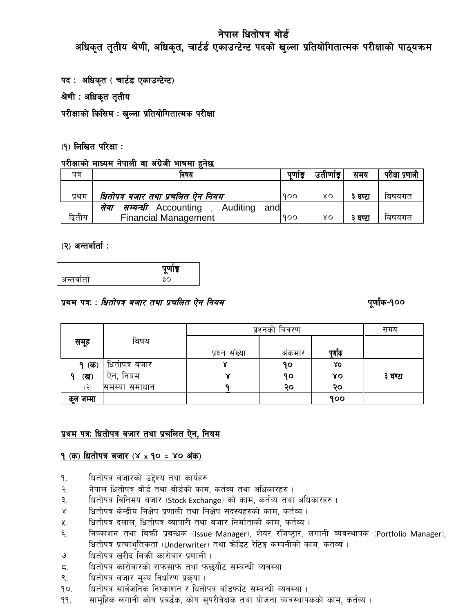अधिकृत तृतीय श्रेणी, अधिकृत, चार्टर्ड एकाउन्टेन्ट पदको खुल्ला प्रतियोगितात्मक परीक्षाको पाठ्यक्रम

पद : अधिकृत (चार्टड एकाउन्टेन्ट)

श्रेणी : अधिकृत तृतीय

परीक्षाको किसिम : खुल्ला प्रतियोगितात्मक परीक्षा

## (१) लिखित परिक्षा:

## परीक्षाको माध्यम नेपाली वा अंग्रेजी भाषमा हुनेछ

| पत्र    | ावषय                                                    |     | उतीर्णाड | समय   | परीक्षा प्रणाली |
|---------|---------------------------------------------------------|-----|----------|-------|-----------------|
|         |                                                         |     |          |       |                 |
| प्रथम   | धितोपत्र बजार तथा प्रचलित ऐन नियम<br>900                |     | γO       | घण्टा | विषयगत          |
|         | <i>सम्बन्धी</i> Accounting<br>, Auditing<br>andl<br>सवा |     |          |       |                 |
| द्वितीय | <b>Financial Management</b>                             | 900 | γo       | घण्टा | विषयगत          |

## $(2)$  अन्तर्वार्ता :

|            | ╼<br>. . |
|------------|----------|
| _<br>जन्तप |          |

## प्रथम पत्रः : धितोपत्र बजार तथा प्रचलित ऐन नियम

## पूर्णांक-१००

|             | प्रश्नको बिवरण |               | समय   |         |         |
|-------------|----------------|---------------|-------|---------|---------|
| समूह        | बिषय           |               |       |         |         |
|             |                | प्रश्न संख्या | अकभार | पुर्णाक |         |
| <b>(क्</b>  | धितोपत्र बजार  |               | 90    | λO      |         |
| (ख)<br>a    | नियम<br>ऐन.    | ४             | 90    | ४०      | ३ घण्टा |
| ر ج         | समस्या समाधान  |               | २०    | २०      |         |
| जम्मा<br>कल |                |               |       | 900     |         |

## प्रथम पत्रः धितोपत्र बजार तथा प्रचलित ऐन, नियम

## 9 (क) धितोपत्र बजार (४ x 90 = ४० अंक)

- धितोपत्र बजारको उद्देश्य तथा कार्यहरु ٩.
- नेपाल धितोपत्र बोर्ड तथा बोर्डको काम, कर्तव्य तथा अधिकारहरु।  $\widetilde{\mathcal{R}}$ .
- धितोपत्र विनिमय बजार (Stock Exchange) को काम, कर्तव्य तथा अधिकारहरु । ३.
- धितोपत्र केन्द्रीय निक्षेप प्रणाली तथा निक्षेप सदस्यहरुको काम, कर्तव्य ।  $\mathbf{X}^{\mathbf{y}}$
- धितोपत्र दलाल, धितोपत्र व्यापारी तथा बजार निर्माताको काम, कर्तव्य ।  $x_{1}$
- ६. निष्काशन तथा बिक्री प्रबन्धक (Issue Manager), शेयर रजिष्ट्रार, लगानी व्यवस्थापक (Portfolio Manager), धितोपत्र प्रत्याभूतिकर्ता (Underwriter) तथा क्रोडिट रेटिङ्ग कम्पनीको काम, कर्तव्य ।
- धितोपत्र खरीद बिक्री कारोबार प्रणाली।  $\mathcal{G}_{\cdot}$
- धितोपत्र कारोबारको राफसाफ तथा फछयौट सम्बन्धी व्यवस्था  $\overline{a}$ .
- धितोपत्र बजार मुल्य निर्धारण प्रकुया ।  $\mathsf{S}$ .
- धितोपत्र सार्वजनिक निष्काशन र धितोपत्र बाँडफाँट सम्बन्धी व्यवस्था।  $90.$
- सामुहिक लगानी कोष प्रबर्द्धक, कोष सुपरीवेक्षक तथा योजना व्यवस्थापकको काम, कर्तव्य । 99.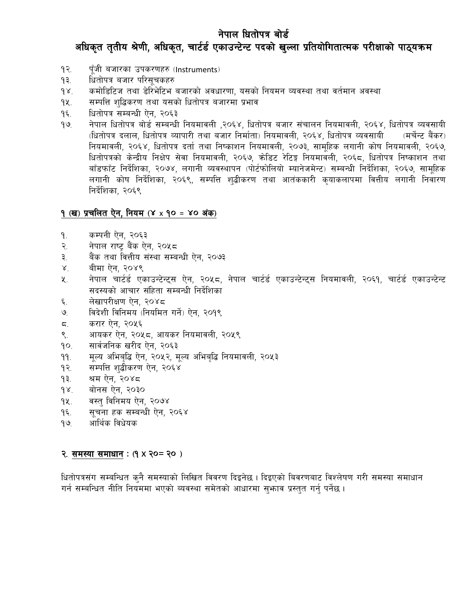## अधिकृत तृतीय श्रेणी, अधिकृत, चार्टर्ड एकाउन्टेन्ट पदको खुल्ला प्रतियोगितात्मक परीक्षाको पाठ्यक्रम

- पूँजी बजारका उपकरणहरु (Instruments) १२.
- धितोपत्र बजार परिसूचकहरु  $93.$
- कमोडिटिज तथा डेरिभेटिभ बजारको अवधारणा, यसको नियमन व्यवस्था तथा वर्तमान अवस्था  $98.$
- सम्पत्ति शद्धिकरण तथा यसको धितोपत्र बजारमा प्रभाव  $9$
- धितोपत्र सम्बन्धी ऐन, २०६३  $9\xi$ .
- नेपाल धितोपत्र बोर्ड सम्बन्धी नियमावली ,२०६४, धितोपत्र बजार संचालन नियमावली, २०६४, धितोपत्र व्यवसायी  $99.$ (धितोपत्र दलाल, धितोपत्र व्यापारी तथा बजार निर्माता) नियमावली, २०६४, धितोपत्र व्यवसायी (मर्चेन्ट बैंकर) नियमावली, २०६४, धितोपत्र दर्ता तथा निष्काशन नियमावली, २०७३, सामूहिक लगानी कोष नियमावली, २०६७, धितोपत्रको केन्द्रीय निक्षेप सेवा नियमावली, २०६७, क्रोडिट रेटिङ्ग नियमावली, २०६८, धितोपत्र निष्काशन तथा बाँडफाँट निर्देशिका, २०७४, लगानी व्यवस्थापन (पोर्टफोलियो म्यानेजमेन्ट) सम्बन्धी निर्देशिका, २०६७, सामुहिक लगानी कोष निर्देशिका, २०६९, सम्पत्ति शद्बीकरण तथा आतंककारी कयाकलापमा वित्तीय लगानी निवारण निर्देशिका, २०६९

## १ (ख) प्रचलित ऐन, नियम (४ x १० = ४० अंक)

- कम्पनी ऐन, २०६३ ٩.
- नेपाल राष्ट्र बैंक ऐन, २०५८ २.
- बैंक तथा वित्तीय संस्था सम्बन्धी ऐन, २०७३ ३.
- बीमा ऐन, २०४९  $\lambda^{\cdot}$
- नेपाल चार्टर्ड एकाउन्टेन्ट्स ऐन, २०५८, नेपाल चार्टर्ड एकाउन्टेन्ट्स नियमावली, २०६१, चार्टर्ड एकाउन्टेन्ट ५. सदस्यको आचार संहिता सम्बन्धी निर्देशिका
- लेखापरीक्षण ऐन, २०४८ ६.
- विदेशी विनिमय (नियमित गर्ने) ऐन, २०१९ ৩
- करार ऐन, २०५६  $5.$
- आयकर ऐन, २०५८, आयकर नियमावली, २०५९ ९.
- सार्वजनिक खरीद ऐन, २०६३  $90.$
- $99.$ मूल्य अभिबृद्धि ऐन, २०५२, मूल्य अभिबृद्धि नियमावली, २०५३
- सम्पत्ति शद्बीकरण ऐन, २०६४  $92.$
- श्रम ऐन, २०४८  $93.$
- बोनस ऐन, २०३०  $98.$
- वस्त् विनिमय ऐन, २०७४ 9X.
- सूचना हक सम्बन्धी ऐन, २०६४ ۹६.
- आर्थिक विधेयक  $99$

#### २. समस्या समाधान:  $(9 \times 20 = 20)$

धितोपत्रसंग सम्बन्धित कुनै समस्याको लिखित विवरण दिइनेछ । दिइएको बिवरणबाट विश्लेषण गरी समस्या समाधान गर्न सम्बन्धित नीति नियममा भएको ब्यवस्था समेतको आधारमा सुभाव प्रस्तुत गर्नु पर्नेछ ।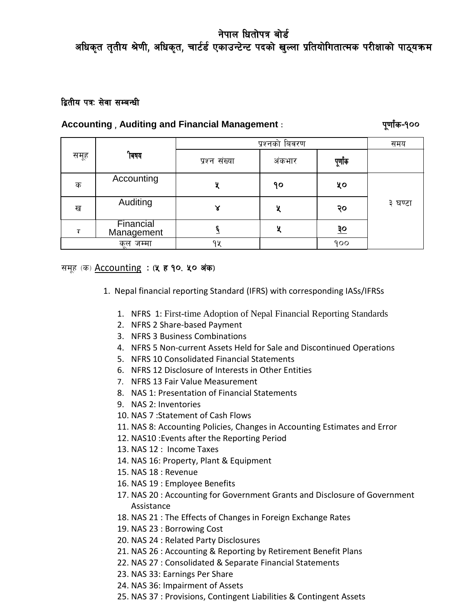अधिकृत तृतीय श्रेणी, अधिकृत, चार्टर्ड एकाउन्टेन्ट पदको खुल्ला प्रतियोगितात्मक परीक्षाको पाठ्यक्रम

## द्वितीय पत्र: सेवा सम्बन्धी

## **Accounting** , **Auditing and Financial Management** M k"0ff{+s–!))

|      |                         | प्रश्नको बिवरण |        |             | समय     |
|------|-------------------------|----------------|--------|-------------|---------|
| समूह | ीबषय                    | प्रश्न संख्या  | अंकभार | पूर्णाक     |         |
| क    | Accounting              |                | ۹၀     | ५०          |         |
| ख    | Auditing                | ४              | X      | २०          | ३ घण्टा |
|      | Financial<br>Management |                | у      | $rac{5}{5}$ |         |
|      | जम्मा<br>कल<br>$\sim$   | 94             |        | 900         |         |

## समूह (क) Accounting : (५ है १०. ५० अंक)

- 1. Nepal financial reporting Standard (IFRS) with corresponding IASs/IFRSs
	- 1. NFRS 1: First-time Adoption of Nepal Financial Reporting Standards
	- 2. NFRS 2 [Share-based](http://eifrs.ifrs.org/eifrs/SearchContent?number=2&collection=2013_Red_Book&ref=AdvSearchS&standard_type=IFRS) Payment
	- 3. NFRS 3 Business [Combinations](http://eifrs.ifrs.org/eifrs/SearchContent?number=3&collection=2013_Red_Book&ref=AdvSearchS&standard_type=IFRS)
	- 4. NFRS 5 Non-current Assets Held for Sale and Discontinued Operations
	- 5. NFRS 10 [Consolidated](http://eifrs.ifrs.org/eifrs/SearchContent?number=10&collection=2013_Red_Book&ref=AdvSearchS&standard_type=IFRS) Financial Statements
	- 6. NFRS 12 [Disclosure](http://eifrs.ifrs.org/eifrs/SearchContent?number=12&collection=2013_Red_Book&ref=AdvSearchS&standard_type=IFRS) of Interests in Other Entities
	- 7. NFRS 13 Fair Value [Measurement](http://eifrs.ifrs.org/eifrs/SearchContent?number=13&collection=2013_Red_Book&ref=AdvSearchS&standard_type=IFRS)
	- 8. NAS 1: Presentation of Financial Statements
	- 9. NAS 2: Inventories
	- 10. NAS 7 :Statement of Cash Flows
	- 11. NAS 8: Accounting Policies, Changes in Accounting Estimates and Error
	- 12. NAS10 :Events after the Reporting Period
	- 13. NAS 12 : Income Taxes
	- 14. NAS 16: Property, Plant & Equipment
	- 15. NAS 18 : Revenue
	- 16. NAS 19 : Employee Benefits
	- 17. NAS 20 : Accounting for Government Grants and Disclosure of Government Assistance
	- 18. NAS 21 : The Effects of Changes in Foreign Exchange Rates
	- 19. NAS 23 : Borrowing Cost
	- 20. NAS 24 : Related Party Disclosures
	- 21. NAS 26 : Accounting & Reporting by Retirement Benefit Plans
	- 22. NAS 27 : Consolidated & Separate Financial Statements
	- 23. NAS 33: Earnings Per Share
	- 24. NAS 36: Impairment of Assets
	- 25. NAS 37 : Provisions, Contingent Liabilities & Contingent Assets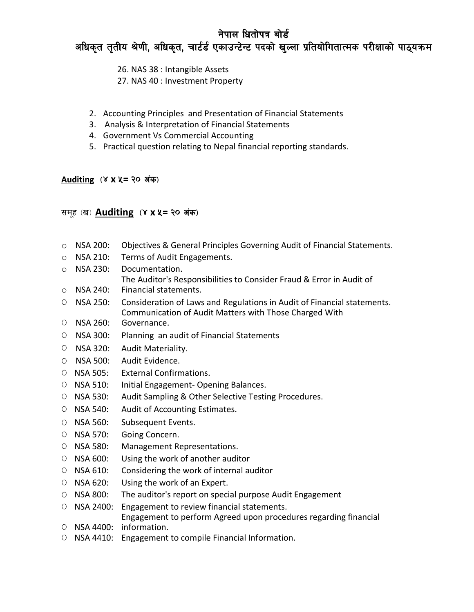# अधिकृत तृतीय श्रेणी, अधिकृत, चार्टर्ड एकाउन्टेन्ट पदको खुल्ला प्रतियोगितात्मक परीक्षाको पाठ्यक्रम

26. NAS 38 : Intangible Assets

- 27. NAS 40 : Investment Property
- 2. Accounting Principles and Presentation of Financial Statements
- 3. Analysis & Interpretation of Financial Statements
- 4. Government Vs Commercial Accounting
- 5. Practical question relating to Nepal financial reporting standards.

## **Auditing**  $(X \times \mathsf{X}) = \{0\}$  अंक)

## समूह (ख) **Auditing (४ x ५ = २० अंक)**

- o NSA 200: Objectives & General Principles Governing Audit of Financial Statements.
- o NSA 210: Terms of Audit Engagements.
- o NSA 230: Documentation.
- The Auditor's Responsibilities to Consider Fraud & Error in Audit of
- o NSA 240: Financial statements.
- O NSA 250: Consideration of Laws and Regulations in Audit of Financial statements. Communication of Audit Matters with Those Charged With
- O NSA 260: Governance.
- O NSA 300: Planning an audit of Financial Statements
- O NSA 320: Audit Materiality.
- O NSA 500: Audit Evidence.
- O NSA 505: External Confirmations.
- O NSA 510: Initial Engagement- Opening Balances.
- O NSA 530: Audit Sampling & Other Selective Testing Procedures.
- O NSA 540: Audit of Accounting Estimates.
- O NSA 560: Subsequent Events.
- O NSA 570: Going Concern.
- O NSA 580: Management Representations.
- O NSA 600: Using the work of another auditor
- O NSA 610: Considering the work of internal auditor
- O NSA 620: Using the work of an Expert.
- O NSA 800: The auditor's report on special purpose Audit Engagement
- O NSA 2400: Engagement to review financial statements.

Engagement to perform Agreed upon procedures regarding financial

- O NSA 4400: information.
- O NSA 4410: Engagement to compile Financial Information.